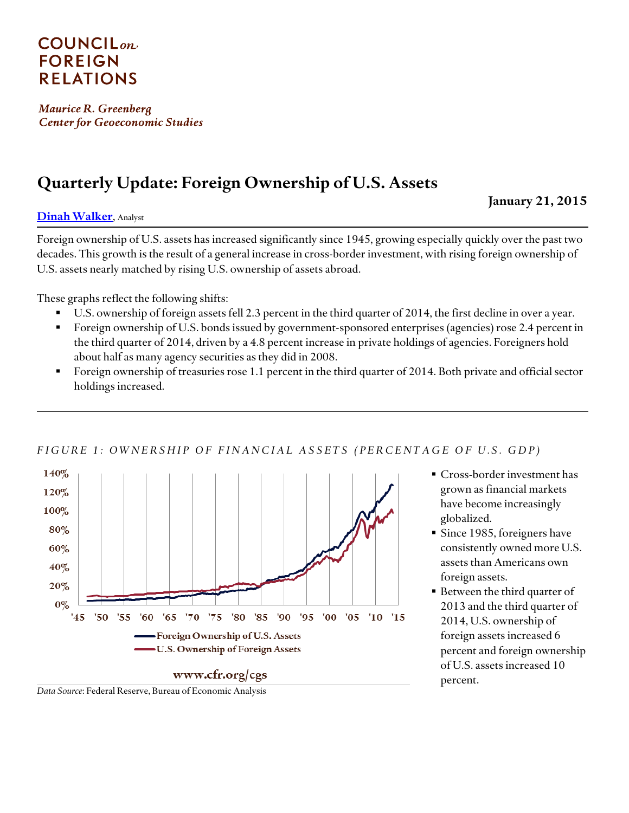# **COUNCIL**<sub>on</sub> **FOREIGN RELATIONS**

Maurice R. Greenberg **Center for Geoeconomic Studies** 

# **Quarterly Update: Foreign Ownership of U.S. Assets**

**[Dinah Walker](http://www.cfr.org/experts/world/dinah-walker/b18346)**, Analyst

Foreign ownership of U.S. assets has increased significantly since 1945, growing especially quickly over the past two decades. This growth is the result of a general increase in cross-border investment, with rising foreign ownership of U.S. assets nearly matched by rising U.S. ownership of assets abroad.

These graphs reflect the following shifts:

- U.S. ownership of foreign assets fell 2.3 percent in the third quarter of 2014, the first decline in over a year.
- Foreign ownership of U.S. bonds issued by government-sponsored enterprises (agencies) rose 2.4 percent in the third quarter of 2014, driven by a 4.8 percent increase in private holdings of agencies. Foreigners hold about half as many agency securities as they did in 2008.
- Foreign ownership of treasuries rose 1.1 percent in the third quarter of 2014. Both private and official sector holdings increased.



#### *F I G U R E 1 : O W N E R S H I P O F F I N A N C I A L A S S E T S ( P E R C E N T A G E O F U . S . G D P )*

 Cross-border investment has grown as financial markets have become increasingly globalized.

**January 21, 2015**

- **Since 1985, foreigners have** consistently owned more U.S. assets than Americans own foreign assets.
- Between the third quarter of 2013 and the third quarter of 2014, U.S. ownership of foreign assets increased 6 percent and foreign ownership of U.S. assets increased 10 percent.

*Data Source*: Federal Reserve, Bureau of Economic Analysis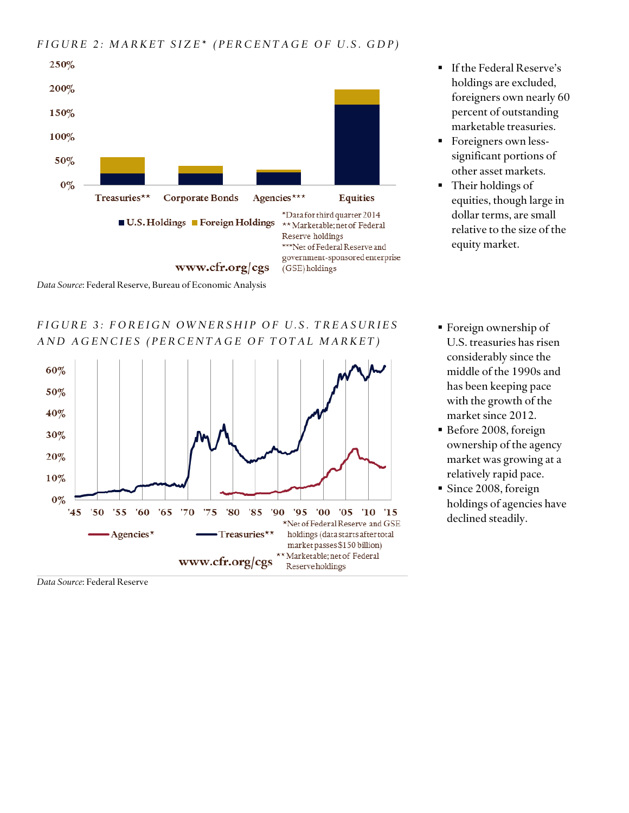

*F I G U R E 3 : F O R E I G N O W N E R S H I P O F U . S . T R E A S U R I E S A N D A G E N C I E S ( P E R C E N T A G E O F T O T A L M A R K E T )*



**If the Federal Reserve's** holdings are excluded, foreigners own nearly 60 percent of outstanding marketable treasuries.

- **Foreigners own less**significant portions of other asset markets.
- Their holdings of equities, though large in dollar terms, are small relative to the size of the equity market.
- Foreign ownership of U.S. treasuries has risen considerably since the middle of the 1990s and has been keeping pace with the growth of the market since 2012.
- Before 2008, foreign ownership of the agency market was growing at a relatively rapid pace.
- Since 2008, foreign holdings of agencies have declined steadily.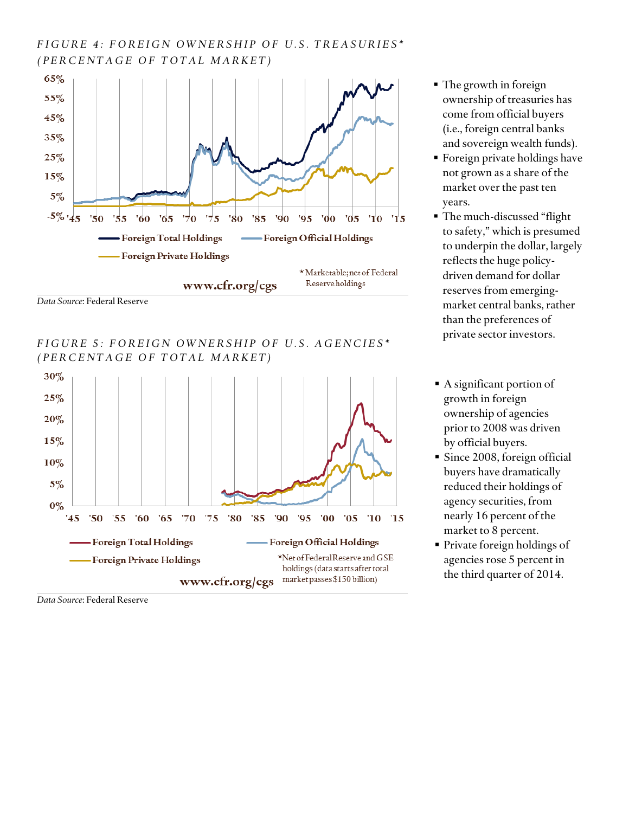## *F I G U R E 4 : F O R E I G N O W N E R S H I P O F U . S . T R E A S U R I E S \* ( P E R C E N T A G E O F T O T A L M A R K E T )*



*FIGURE 5: FOREIGN OWNERSHIP OF U.S. AGENCIES\* ( P E R C E N T A G E O F T O T A L M A R K E T )*



- The growth in foreign ownership of treasuries has come from official buyers (i.e., foreign central banks and sovereign wealth funds).
- **Foreign private holdings have** not grown as a share of the market over the past ten years.
- The much-discussed "flight to safety," which is presumed to underpin the dollar, largely reflects the huge policydriven demand for dollar reserves from emergingmarket central banks, rather than the preferences of private sector investors.
- A significant portion of growth in foreign ownership of agencies prior to 2008 was driven by official buyers.
- Since 2008, foreign official buyers have dramatically reduced their holdings of agency securities, from nearly 16 percent of the market to 8 percent.
- **Private foreign holdings of** agencies rose 5 percent in the third quarter of 2014.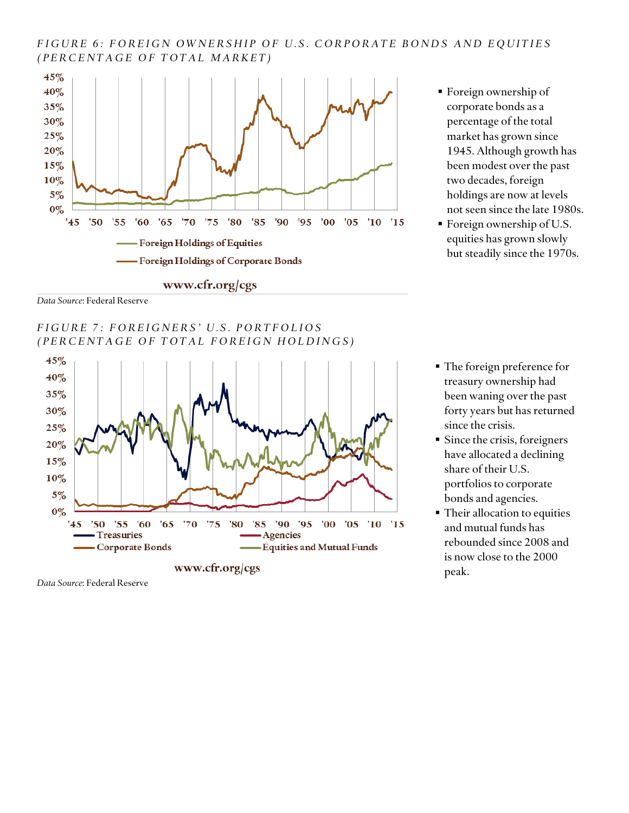#### *F I G U R E 6 : F O R E I G N O W N E R S H I P O F U . S . C O R P O R A T E B O N D S A N D E Q U I T I E S ( P E R C E N T A G E O F T O T A L M A R K E T )*



- Foreign ownership of corporate bonds as a percentage of the total market has grown since 1945. Although growth has been modest over the past two decades, foreign holdings are now at levels not seen since the late 1980s.
- Foreign ownership of U.S. equities has grown slowly but steadily since the 1970s.

*Data Source*: Federal Reserve

*F I G U R E 7 : F O R E I G N E R S ' U . S . P O R T F O L I O S (PERCENTAGE OF TOTAL FOREIGN HOLDINGS)* 



www.cfr.org/cgs

- The foreign preference for treasury ownership had been waning over the past forty years but has returned since the crisis.
- Since the crisis, foreigners have allocated a declining share of their U.S. portfolios to corporate bonds and agencies.
- **Their allocation to equities** and mutual funds has rebounded since 2008 and is now close to the 2000 peak.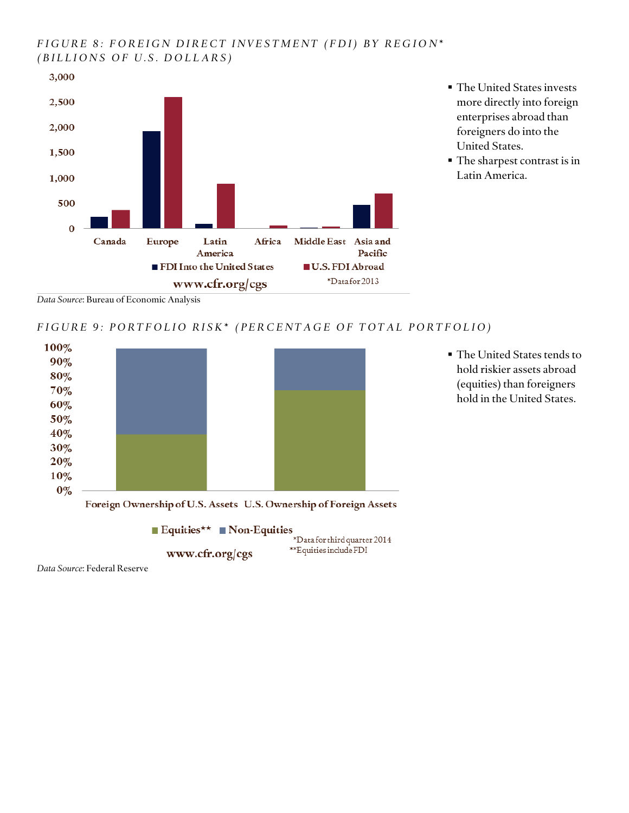### *FIGURE 8: FOREIGN DIRECT INVESTMENT (FDI) BY REGION\* (BILLIONS OF U.S. DOLLARS)*



- The United States invests more directly into foreign enterprises abroad than foreigners do into the United States.
- The sharpest contrast is in Latin America.

*Data Source*: Bureau of Economic Analysis

#### *F I G U R E 9 : P O R T F O L I O R I S K \* ( P E R C E N T A G E O F T O T A L P O R T F O L I O )*

\*\*Equities include FDI



www.cfr.org/cgs

 The United States tends to hold riskier assets abroad (equities) than foreigners hold in the United States.